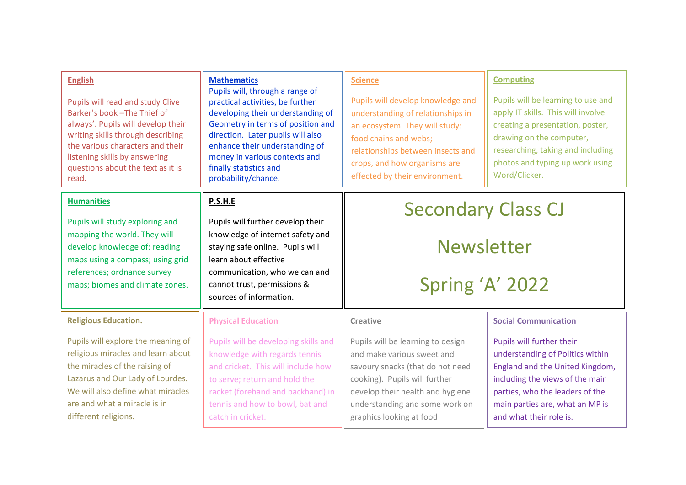| <b>English</b><br>Pupils will read and study Clive<br>Barker's book - The Thief of<br>always'. Pupils will develop their<br>writing skills through describing<br>the various characters and their<br>listening skills by answering<br>questions about the text as it is<br>read. | <b>Mathematics</b><br>Pupils will, through a range of<br>practical activities, be further<br>developing their understanding of<br>Geometry in terms of position and<br>direction. Later pupils will also<br>enhance their understanding of<br>money in various contexts and<br>finally statistics and<br>probability/chance. | <b>Science</b><br>Pupils will develop knowledge and<br>understanding of relationships in<br>an ecosystem. They will study:<br>food chains and webs;<br>relationships between insects and<br>crops, and how organisms are<br>effected by their environment. | <b>Computing</b><br>Pupils will be learning to use and<br>apply IT skills. This will involve<br>creating a presentation, poster,<br>drawing on the computer,<br>researching, taking and including<br>photos and typing up work using<br>Word/Clicker. |
|----------------------------------------------------------------------------------------------------------------------------------------------------------------------------------------------------------------------------------------------------------------------------------|------------------------------------------------------------------------------------------------------------------------------------------------------------------------------------------------------------------------------------------------------------------------------------------------------------------------------|------------------------------------------------------------------------------------------------------------------------------------------------------------------------------------------------------------------------------------------------------------|-------------------------------------------------------------------------------------------------------------------------------------------------------------------------------------------------------------------------------------------------------|
| <b>Humanities</b><br>Pupils will study exploring and                                                                                                                                                                                                                             | P.S.H.E<br>Pupils will further develop their                                                                                                                                                                                                                                                                                 | <b>Secondary Class CJ</b><br><b>Newsletter</b>                                                                                                                                                                                                             |                                                                                                                                                                                                                                                       |
| mapping the world. They will<br>develop knowledge of: reading                                                                                                                                                                                                                    | knowledge of internet safety and<br>staying safe online. Pupils will                                                                                                                                                                                                                                                         |                                                                                                                                                                                                                                                            |                                                                                                                                                                                                                                                       |
| maps using a compass; using grid<br>references; ordnance survey<br>maps; biomes and climate zones.                                                                                                                                                                               | learn about effective<br>communication, who we can and<br>cannot trust, permissions &<br>sources of information.                                                                                                                                                                                                             | Spring 'A' 2022                                                                                                                                                                                                                                            |                                                                                                                                                                                                                                                       |
| <b>Religious Education.</b>                                                                                                                                                                                                                                                      | <b>Physical Education</b>                                                                                                                                                                                                                                                                                                    | <b>Creative</b>                                                                                                                                                                                                                                            | <b>Social Communication</b>                                                                                                                                                                                                                           |
| Pupils will explore the meaning of<br>religious miracles and learn about<br>the miracles of the raising of<br>Lazarus and Our Lady of Lourdes.<br>We will also define what miracles<br>are and what a miracle is in<br>different religions.                                      | Pupils will be developing skills and<br>knowledge with regards tennis<br>and cricket. This will include how<br>to serve; return and hold the<br>racket (forehand and backhand) in<br>tennis and how to bowl, bat and<br>catch in cricket.                                                                                    | Pupils will be learning to design<br>and make various sweet and<br>savoury snacks (that do not need<br>cooking). Pupils will further<br>develop their health and hygiene<br>understanding and some work on<br>graphics looking at food                     | Pupils will further their<br>understanding of Politics within<br>England and the United Kingdom,<br>including the views of the main<br>parties, who the leaders of the<br>main parties are, what an MP is<br>and what their role is.                  |